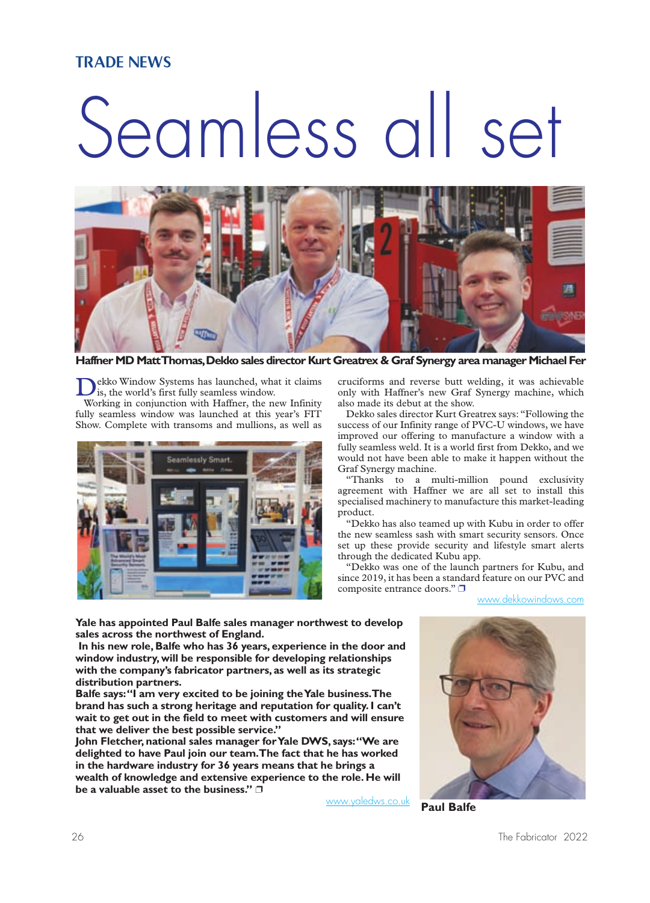#### TRADE NEWS

# Seamless all set



**Haffner MD MattThomas,Dekko sales director Kurt Greatrex & Graf Synergy area manager Michael Fer**

Dekko Window Systems has launched, what it claims is, the world's first fully seamless window.

Working in conjunction with Haffner, the new Infinity fully seamless window was launched at this year's FIT Show. Complete with transoms and mullions, as well as



cruciforms and reverse butt welding, it was achievable only with Haffner's new Graf Synergy machine, which also made its debut at the show.

Dekko sales director Kurt Greatrex says: "Following the success of our Infinity range of PVC-U windows, we have improved our offering to manufacture a window with a fully seamless weld. It is a world first from Dekko, and we would not have been able to make it happen without the Graf Synergy machine.

"Thanks to a multi-million pound exclusivity agreement with Haffner we are all set to install this specialised machinery to manufacture this market-leading product.

"Dekko has also teamed up with Kubu in order to offer the new seamless sash with smart security sensors. Once set up these provide security and lifestyle smart alerts through the dedicated Kubu app.

"Dekko was one of the launch partners for Kubu, and since 2019, it has been a standard feature on our PVC and composite entrance doors." ❐

[www.dekkowindows.com](http://www.dekkowindows.com)

**Yale has appointed Paul Balfe sales manager northwest to develop sales across the northwest of England.**

**In his new role, Balfe who has 36 years, experience in the door and window industry, will be responsible for developing relationships with the company's fabricator partners, as well as its strategic distribution partners.**

**Balfe says:"I am very excited to be joining theYale business.The brand has such a strong heritage and reputation for quality. I can't wait to get out in the field to meet with customers and will ensure that we deliver the best possible service."**

**John Fletcher, national sales manager forYale DWS, says:"We are delighted to have Paul join our team.The fact that he has worked in the hardware industry for 36 years means that he brings a wealth of knowledge and extensive experience to the role. He will be a valuable asset to the business."** ❐

[www.yaledws.co.uk](http://www.yaledws.co.uk)



**Paul Balfe**